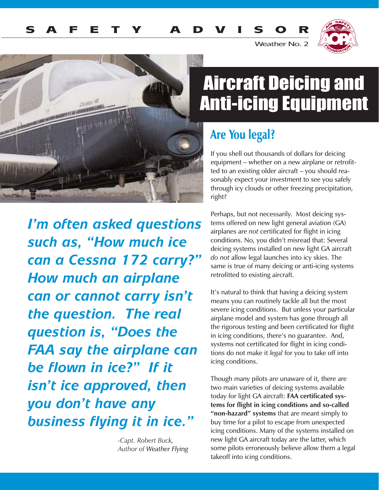

Weather No. 2



*I'm often asked questions such as, "How much ice can a Cessna 172 carry?" How much an airplane can or cannot carry isn't the question. The real question is, "Does the FAA say the airplane can be flown in ice?" If it isn't ice approved, then you don't have any business flying it in ice."*

> *-Capt. Robert Buck, Author of Weather Flying*

# Aircraft Deicing and Anti-icing Equipment

### Are You legal?

If you shell out thousands of dollars for deicing equipment – whether on a new airplane or retrofitted to an existing older aircraft – you should reasonably expect your investment to see you safely through icy clouds or other freezing precipitation, right?

Perhaps, but not necessarily. Most deicing systems offered on new light general aviation (GA) airplanes are *not* certificated for flight in icing conditions. No, you didn't misread that: Several deicing systems installed on new light GA aircraft *do not* allow legal launches into icy skies. The same is true of many deicing or anti-icing systems retrofitted to existing aircraft.

It's natural to think that having a deicing system means you can routinely tackle all but the most severe icing conditions. But unless your particular airplane model and system has gone through all the rigorous testing and been certificated for flight in icing conditions, there's no guarantee. And, systems not certificated for flight in icing conditions do not make it *legal* for you to take off into icing conditions.

Though many pilots are unaware of it, there are two main varieties of deicing systems available today for light GA aircraft: **FAA certificated systems for flight in icing conditions and so-called "non-hazard" systems** that are meant simply to buy time for a pilot to escape from unexpected icing conditions. Many of the systems installed on new light GA aircraft today are the latter, which some pilots erroneously believe allow them a legal takeoff into icing conditions.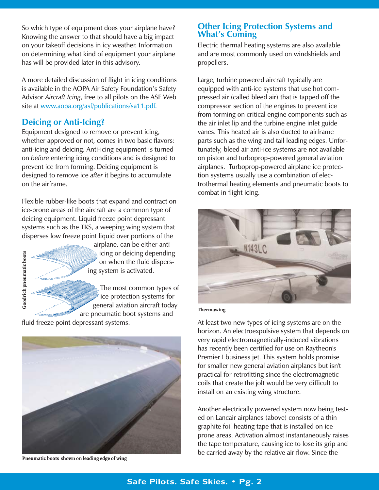So which type of equipment does your airplane have? Knowing the answer to that should have a big impact on your takeoff decisions in icy weather. Information on determining what kind of equipment your airplane has will be provided later in this advisory.

A more detailed discussion of flight in icing conditions is available in the AOPA Air Safety Foundation's Safety Advisor *Aircraft Icing*, free to all pilots on the ASF Web site at www.aopa.org/asf/publications/sa11.pdf.

### **Deicing or Anti-Icing?**

Equipment designed to remove or prevent icing, whether approved or not, comes in two basic flavors: anti-icing and deicing. Anti-icing equipment is turned on *before* entering icing conditions and is designed to prevent ice from forming. Deicing equipment is designed to remove ice *after* it begins to accumulate on the airframe.

Flexible rubber-like boots that expand and contract on ice-prone areas of the aircraft are a common type of deicing equipment. Liquid freeze point depressant systems such as the TKS, a weeping wing system that disperses low freeze point liquid over portions of the



airplane, can be either antiicing or deicing depending on when the fluid dispersing system is activated.

The most common types of ice protection systems for general aviation aircraft today are pneumatic boot systems and

fluid freeze point depressant systems.



**Pneumatic boots shown on leading edge of wing**

### **Other Icing Protection Systems and What's Coming**

Electric thermal heating systems are also available and are most commonly used on windshields and propellers.

Large, turbine powered aircraft typically are equipped with anti-ice systems that use hot compressed air (called bleed air) that is tapped off the compressor section of the engines to prevent ice from forming on critical engine components such as the air inlet lip and the turbine engine inlet guide vanes. This heated air is also ducted to airframe parts such as the wing and tail leading edges. Unfortunately, bleed air anti-ice systems are not available on piston and turboprop-powered general aviation airplanes. Turboprop-powered airplane ice protection systems usually use a combination of electrothermal heating elements and pneumatic boots to combat in flight icing.



**Thermawing**

At least two new types of icing systems are on the horizon. An electroexpulsive system that depends on very rapid electromagnetically-induced vibrations has recently been certified for use on Raytheon's Premier I business jet. This system holds promise for smaller new general aviation airplanes but isn't practical for retrofitting since the electromagnetic coils that create the jolt would be very difficult to install on an existing wing structure.

Another electrically powered system now being tested on Lancair airplanes (above) consists of a thin graphite foil heating tape that is installed on ice prone areas. Activation almost instantaneously raises the tape temperature, causing ice to lose its grip and be carried away by the relative air flow. Since the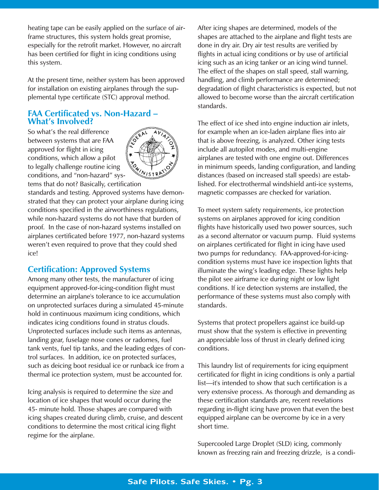heating tape can be easily applied on the surface of airframe structures, this system holds great promise, especially for the retrofit market. However, no aircraft has been certified for flight in icing conditions using this system.

At the present time, neither system has been approved for installation on existing airplanes through the supplemental type certificate (STC) approval method.

### **FAA Certificated vs. Non-Hazard – What's Involved?**

So what's the real difference between systems that are FAA approved for flight in icing conditions, which allow a pilot to legally challenge routine icing conditions, and "non-hazard" sys-



tems that do not? Basically, certification standards and testing. Approved systems have demon-

strated that they can protect your airplane during icing conditions specified in the airworthiness regulations, while non-hazard systems do not have that burden of proof. In the case of non-hazard systems installed on airplanes certificated before 1977, non-hazard systems weren't even required to prove that they could shed ice!

### **Certification: Approved Systems**

Among many other tests, the manufacturer of icing equipment approved-for-icing-condition flight must determine an airplane's tolerance to ice accumulation on unprotected surfaces during a simulated 45-minute hold in continuous maximum icing conditions, which indicates icing conditions found in stratus clouds. Unprotected surfaces include such items as antennas, landing gear, fuselage nose cones or radomes, fuel tank vents, fuel tip tanks, and the leading edges of control surfaces. In addition, ice on protected surfaces, such as deicing boot residual ice or runback ice from a thermal ice protection system, must be accounted for.

Icing analysis is required to determine the size and location of ice shapes that would occur during the 45- minute hold. Those shapes are compared with icing shapes created during climb, cruise, and descent conditions to determine the most critical icing flight regime for the airplane.

After icing shapes are determined, models of the shapes are attached to the airplane and flight tests are done in dry air. Dry air test results are verified by flights in actual icing conditions or by use of artificial icing such as an icing tanker or an icing wind tunnel. The effect of the shapes on stall speed, stall warning, handling, and climb performance are determined; degradation of flight characteristics is expected, but not allowed to become worse than the aircraft certification standards.

The effect of ice shed into engine induction air inlets, for example when an ice-laden airplane flies into air that is above freezing, is analyzed. Other icing tests include all autopilot modes, and multi-engine airplanes are tested with one engine out. Differences in minimum speeds, landing configuration, and landing distances (based on increased stall speeds) are established. For electrothermal windshield anti-ice systems, magnetic compasses are checked for variation.

To meet system safety requirements, ice protection systems on airplanes approved for icing condition flights have historically used two power sources, such as a second alternator or vacuum pump. Fluid systems on airplanes certificated for flight in icing have used two pumps for redundancy. FAA-approved-for-icingcondition systems must have ice inspection lights that illuminate the wing's leading edge. These lights help the pilot see airframe ice during night or low light conditions. If ice detection systems are installed, the performance of these systems must also comply with standards.

Systems that protect propellers against ice build-up must show that the system is effective in preventing an appreciable loss of thrust in clearly defined icing conditions.

This laundry list of requirements for icing equipment certificated for flight in icing conditions is only a partial list—it's intended to show that such certification is a very extensive process. As thorough and demanding as these certification standards are, recent revelations regarding in-flight icing have proven that even the best equipped airplane can be overcome by ice in a very short time.

Supercooled Large Droplet (SLD) icing, commonly known as freezing rain and freezing drizzle, is a condi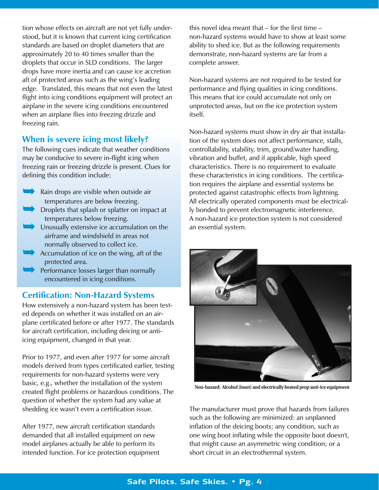tion whose effects on aircraft are not yet fully understood, but it is known that current icing certification standards are based on droplet diameters that are approximately 20 to 40 times smaller than the droplets that occur in SLD conditions. The larger drops have more inertia and can cause ice accretion aft of protected areas such as the wing's leading edge. Translated, this means that not even the latest flight into icing conditions equipment will protect an airplane in the severe icing conditions encountered when an airplane flies into freezing drizzle and freezing rain.

### **When is severe icing most likely?**

The following cues indicate that weather conditions may be conducive to severe in-flight icing when freezing rain or freezing drizzle is present. Clues for defining this condition include:

➥ ➥

➥

➥

➥

Rain drops are visible when outside air temperatures are below freezing. Droplets that splash or splatter on impact at

- temperatures below freezing.
- Unusually extensive ice accumulation on the airframe and windshield in areas not normally observed to collect ice.
- Accumulation of ice on the wing, aft of the protected area.
- Performance losses larger than normally encountered in icing conditions.

### **Certification: Non-Hazard Systems**

How extensively a non-hazard system has been tested depends on whether it was installed on an airplane certificated before or after 1977. The standards for aircraft certification, including deicing or antiicing equipment, changed in that year.

Prior to 1977, and even after 1977 for some aircraft models derived from types certificated earlier, testing requirements for non-hazard systems were very basic, e.g., whether the installation of the system created flight problems or hazardous conditions. The question of whether the system had any value at shedding ice wasn't even a certification issue.

After 1977, new aircraft certification standards demanded that all installed equipment on new model airplanes actually be able to perform its intended function. For ice protection equipment

this novel idea meant that – for the first time – non-hazard systems would have to show at least some ability to shed ice. But as the following requirements demonstrate, non-hazard systems are far from a complete answer.

Non-hazard systems are not required to be tested for performance and flying qualities in icing conditions. This means that ice could accumulate not only on unprotected areas, but on the ice protection system itself.

Non-hazard systems must show in dry air that installation of the system does not affect performance, stalls, controllability, stability, trim, ground/water handling, vibration and buffet, and if applicable, high speed characteristics. There is no requirement to evaluate these characteristics in icing conditions. The certification requires the airplane and essential systems be protected against catastrophic effects from lightning. All electrically operated components must be electrically bonded to prevent electromagnetic interference. A non-hazard ice protection system is not considered an essential system.



**Non-hazard: Alcohol (inset) and electrically heated prop anti-ice equipment**

The manufacturer must prove that hazards from failures such as the following are minimized: an unplanned inflation of the deicing boots; any condition, such as one wing boot inflating while the opposite boot doesn't, that might cause an asymmetric wing condition; or a short circuit in an electrothermal system.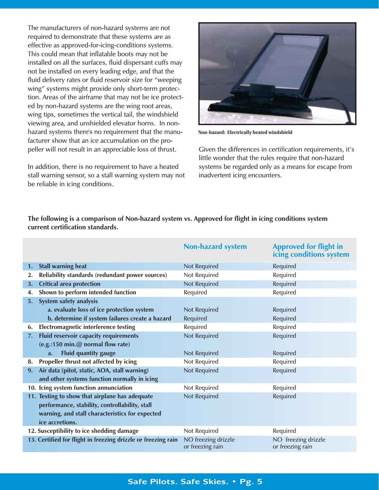The manufacturers of non-hazard systems are not required to demonstrate that these systems are as effective as approved-for-icing-conditions systems. This could mean that inflatable boots may not be installed on all the surfaces, fluid dispersant cuffs may not be installed on every leading edge, and that the fluid delivery rates or fluid reservoir size for "weeping wing" systems might provide only short-term protection. Areas of the airframe that may not be ice protected by non-hazard systems are the wing root areas, wing tips, sometimes the vertical tail, the windshield viewing area, and unshielded elevator horns. In nonhazard systems there's no requirement that the manufacturer show that an ice accumulation on the propeller will not result in an appreciable loss of thrust.

In addition, there is no requirement to have a heated stall warning sensor, so a stall warning system may not be reliable in icing conditions.



**Non-hazard: Electrically heated windshield**

Given the differences in certification requirements, it's little wonder that the rules require that non-hazard systems be regarded only as a means for escape from inadvertent icing encounters.

**The following is a comparison of Non-hazard system vs. Approved for flight in icing conditions system current certification standards.**

|                                           |                                                               | <b>Non-hazard system</b>                | <b>Approved for flight in</b><br>icing conditions system |
|-------------------------------------------|---------------------------------------------------------------|-----------------------------------------|----------------------------------------------------------|
| 1.                                        | <b>Stall warning heat</b>                                     | Not Required                            | Required                                                 |
| 2.                                        | <b>Reliability standards (redundant power sources)</b>        | Not Required                            | Required                                                 |
| 3.                                        | <b>Critical area protection</b>                               | Not Required                            | Required                                                 |
| 4.                                        | Shown to perform intended function                            | Required                                | Required                                                 |
| 5.                                        | System safety analysis                                        |                                         |                                                          |
|                                           | a. evaluate loss of ice protection system                     | Not Required                            | Required                                                 |
|                                           | b. determine if system failures create a hazard               | Required                                | Required                                                 |
| 6.                                        | <b>Electromagnetic interference testing</b>                   | Required                                | Required                                                 |
| 7.                                        | Fluid reservoir capacity requirements                         | Not Required                            | Required                                                 |
|                                           | (e.g.:150 min.@ normal flow rate)                             |                                         |                                                          |
|                                           | <b>Fluid quantity gauge</b><br>$a_{\cdot}$                    | Not Required                            | Required                                                 |
| 8.                                        | Propeller thrust not affected by icing                        | Not Required                            | Required                                                 |
| 9.                                        | Air data (pitot, static, AOA, stall warning)                  | Not Required                            | Required                                                 |
|                                           | and other systems function normally in icing                  |                                         |                                                          |
|                                           | 10. Icing system function annunciation                        | Not Required                            | Required                                                 |
|                                           | 11. Testing to show that airplane has adequate                | <b>Not Required</b>                     | Required                                                 |
|                                           | performance, stability, controllability, stall                |                                         |                                                          |
|                                           | warning, and stall characteristics for expected               |                                         |                                                          |
|                                           | ice accretions.                                               |                                         |                                                          |
| 12. Susceptibility to ice shedding damage |                                                               | Not Required                            | Required                                                 |
|                                           | 13. Certified for flight in freezing drizzle or freezing rain | NO freezing drizzle<br>or freezing rain | NO freezing drizzle<br>or freezing rain                  |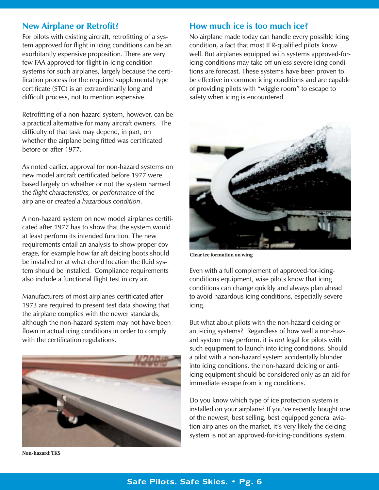### **New Airplane or Retrofit?**

For pilots with existing aircraft, retrofitting of a system approved for flight in icing conditions can be an exorbitantly expensive proposition. There are very few FAA approved-for-flight-in-icing condition systems for such airplanes, largely because the certification process for the required supplemental type certificate (STC) is an extraordinarily long and difficult process, not to mention expensive.

Retrofitting of a non-hazard system, however, can be a practical alternative for many aircraft owners. The difficulty of that task may depend, in part, on whether the airplane being fitted was certificated before or after 1977.

As noted earlier, approval for non-hazard systems on new model aircraft certificated before 1977 were based largely on whether or not the system harmed the *flight characteristics, or performance* of the airplane or *created a hazardous condition*.

A non-hazard system on new model airplanes certificated after 1977 has to show that the system would at least perform its intended function. The new requirements entail an analysis to show proper coverage, for example how far aft deicing boots should be installed or at what chord location the fluid system should be installed. Compliance requirements also include a functional flight test in dry air.

Manufacturers of most airplanes certificated after 1973 are required to present test data showing that the airplane complies with the newer standards, although the non-hazard system may not have been flown in actual icing conditions in order to comply with the certification regulations.



**Non-hazard: TKS**

### **How much ice is too much ice?**

No airplane made today can handle every possible icing condition, a fact that most IFR-qualified pilots know well. But airplanes equipped with systems approved-foricing-conditions may take off unless severe icing conditions are forecast. These systems have been proven to be effective in common icing conditions and are capable of providing pilots with "wiggle room" to escape to safety when icing is encountered.



**Clear ice formation on wing**

Even with a full complement of approved-for-icingconditions equipment, wise pilots know that icing conditions can change quickly and always plan ahead to avoid hazardous icing conditions, especially severe icing.

But what about pilots with the non-hazard deicing or anti-icing systems? Regardless of how well a non-hazard system may perform, it is *not* legal for pilots with such equipment to launch into icing conditions. Should a pilot with a non-hazard system accidentally blunder into icing conditions, the non-hazard deicing or antiicing equipment should be considered only as an aid for immediate escape from icing conditions.

Do you know which type of ice protection system is installed on your airplane? If you've recently bought one of the newest, best selling, best equipped general aviation airplanes on the market, it's very likely the deicing system is not an approved-for-icing-conditions system.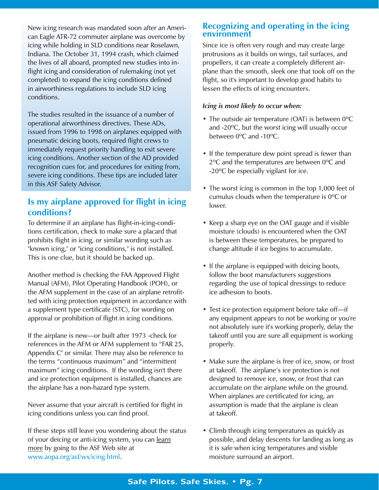New icing research was mandated soon after an American Eagle ATR-72 commuter airplane was overcome by icing while holding in SLD conditions near Roselawn, Indiana. The October 31, 1994 crash, which claimed the lives of all aboard, prompted new studies into inflight icing and consideration of rulemaking (not yet completed) to expand the icing conditions defined in airworthiness regulations to include SLD icing conditions.

The studies resulted in the issuance of a number of operational airworthiness directives. These ADs, issued from 1996 to 1998 on airplanes equipped with pneumatic deicing boots, required flight crews to immediately request priority handling to exit severe icing conditions. Another section of the AD provided recognition cues for, and procedures for exiting from, severe icing conditions. These tips are included later in this ASF Safety Advisor.

### **Is my airplane approved for flight in icing conditions?**

To determine if an airplane has flight-in-icing-conditions certification, check to make sure a placard that prohibits flight in icing, or similar wording such as "known icing," or "icing conditions," is not installed. This is one clue, but it should be backed up.

Another method is checking the FAA Approved Flight Manual (AFM), Pilot Operating Handbook (POH), or the AFM supplement in the case of an airplane retrofitted with icing protection equipment in accordance with a supplement type certificate (STC), for wording on approval or prohibition of flight in icing conditions.

If the airplane is new—or built after 1973 -check for references in the AFM or AFM supplement to "FAR 25, Appendix C" or similar. There may also be reference to the terms "continuous maximum" and "intermittent maximum" icing conditions. If the wording isn't there and ice protection equipment is installed, chances are the airplane has a non-hazard type system.

Never assume that your aircraft is certified for flight in icing conditions unless you can find proof.

If these steps still leave you wondering about the status of your deicing or anti-icing system, you can learn more by going to the ASF Web site at www.aopa.org/asf/wx/icing.html.

### **Recognizing and operating in the icing environment**

Since ice is often very rough and may create large protrusions as it builds on wings, tail surfaces, and propellers, it can create a completely different airplane than the smooth, sleek one that took off on the flight, so it's important to develop good habits to lessen the effects of icing encounters.

### *Icing is most likely to occur when:*

- The outside air temperature (OAT) is between 0ºC and -20ºC, but the worst icing will usually occur between 0ºC and -10ºC.
- If the temperature dew point spread is fewer than 2ºC and the temperatures are between 0ºC and -20ºC be especially vigilant for ice.
- The worst icing is common in the top 1,000 feet of cumulus clouds when the temperature is 0ºC or lower.
- Keep a sharp eye on the OAT gauge and if visible moisture (clouds) is encountered when the OAT is between these temperatures, be prepared to change altitude if ice begins to accumulate.
- If the airplane is equipped with deicing boots, follow the boot manufacturers suggestions regarding the use of topical dressings to reduce ice adhesion to boots.
- Test ice protection equipment before take off—if any equipment appears to not be working or you're not absolutely sure it's working properly, delay the takeoff until you are sure all equipment is working properly.
- Make sure the airplane is free of ice, snow, or frost at takeoff. The airplane's ice protection is not designed to remove ice, snow, or frost that can accumulate on the airplane while on the ground. When airplanes are certificated for icing, an assumption is made that the airplane is clean at takeoff.
- Climb through icing temperatures as quickly as possible, and delay descents for landing as long as it is safe when icing temperatures and visible moisture surround an airport.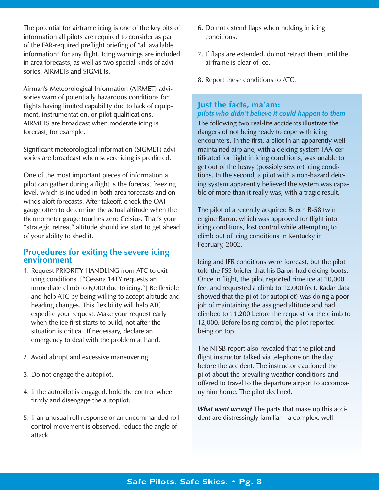The potential for airframe icing is one of the key bits of information all pilots are required to consider as part of the FAR-required preflight briefing of "all available information" for any flight. Icing warnings are included in area forecasts, as well as two special kinds of advisories, AIRMETs and SIGMETs.

Airman's Meteorological Information (AIRMET) advisories warn of potentially hazardous conditions for flights having limited capability due to lack of equipment, instrumentation, or pilot qualifications. AIRMETS are broadcast when moderate icing is forecast, for example.

Significant meteorological information (SIGMET) advisories are broadcast when severe icing is predicted.

One of the most important pieces of information a pilot can gather during a flight is the forecast freezing level, which is included in both area forecasts and on winds aloft forecasts. After takeoff, check the OAT gauge often to determine the actual altitude when the thermometer gauge touches zero Celsius. That's your "strategic retreat" altitude should ice start to get ahead of your ability to shed it.

### **Procedures for exiting the severe icing environment**

- 1. Request PRIORITY HANDLING from ATC to exit icing conditions. ["Cessna 14TY requests an immediate climb to 6,000 due to icing."] Be flexible and help ATC by being willing to accept altitude and heading changes. This flexibility will help ATC expedite your request. Make your request early when the ice first starts to build, not after the situation is critical. If necessary, declare an emergency to deal with the problem at hand.
- 2. Avoid abrupt and excessive maneuvering.
- 3. Do not engage the autopilot.
- 4. If the autopilot is engaged, hold the control wheel firmly and disengage the autopilot.
- 5. If an unusual roll response or an uncommanded roll control movement is observed, reduce the angle of attack.
- 6. Do not extend flaps when holding in icing conditions.
- 7. If flaps are extended, do not retract them until the airframe is clear of ice.
- 8. Report these conditions to ATC.

### **Just the facts, ma'am:**  *pilots who didn't believe it could happen to them*

The following two real-life accidents illustrate the dangers of not being ready to cope with icing encounters. In the first, a pilot in an apparently wellmaintained airplane, with a deicing system FAA-certificated for flight in icing conditions, was unable to get out of the heavy (possibly severe) icing conditions. In the second, a pilot with a non-hazard deicing system apparently believed the system was capable of more than it really was, with a tragic result.

The pilot of a recently acquired Beech B-58 twin engine Baron, which was approved for flight into icing conditions, lost control while attempting to climb out of icing conditions in Kentucky in February, 2002.

Icing and IFR conditions were forecast, but the pilot told the FSS briefer that his Baron had deicing boots. Once in flight, the pilot reported rime ice at 10,000 feet and requested a climb to 12,000 feet. Radar data showed that the pilot (or autopilot) was doing a poor job of maintaining the assigned altitude and had climbed to 11,200 before the request for the climb to 12,000. Before losing control, the pilot reported being on top.

The NTSB report also revealed that the pilot and flight instructor talked via telephone on the day before the accident. The instructor cautioned the pilot about the prevailing weather conditions and offered to travel to the departure airport to accompany him home. The pilot declined.

*What went wrong?* The parts that make up this accident are distressingly familiar—a complex, well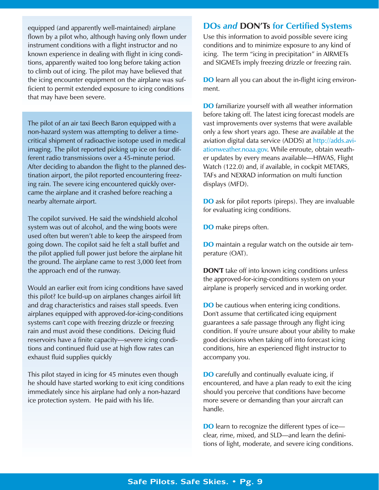equipped (and apparently well-maintained) airplane flown by a pilot who, although having only flown under instrument conditions with a flight instructor and no known experience in dealing with flight in icing conditions, apparently waited too long before taking action to climb out of icing. The pilot may have believed that the icing encounter equipment on the airplane was sufficient to permit extended exposure to icing conditions that may have been severe.

The pilot of an air taxi Beech Baron equipped with a non-hazard system was attempting to deliver a timecritical shipment of radioactive isotope used in medical imaging. The pilot reported picking up ice on four different radio transmissions over a 45-minute period. After deciding to abandon the flight to the planned destination airport, the pilot reported encountering freezing rain. The severe icing encountered quickly overcame the airplane and it crashed before reaching a nearby alternate airport.

The copilot survived. He said the windshield alcohol system was out of alcohol, and the wing boots were used often but weren't able to keep the airspeed from going down. The copilot said he felt a stall buffet and the pilot applied full power just before the airplane hit the ground. The airplane came to rest 3,000 feet from the approach end of the runway.

Would an earlier exit from icing conditions have saved this pilot? Ice build-up on airplanes changes airfoil lift and drag characteristics and raises stall speeds. Even airplanes equipped with approved-for-icing-conditions systems can't cope with freezing drizzle or freezing rain and must avoid these conditions. Deicing fluid reservoirs have a finite capacity—severe icing conditions and continued fluid use at high flow rates can exhaust fluid supplies quickly

This pilot stayed in icing for 45 minutes even though he should have started working to exit icing conditions immediately since his airplane had only a non-hazard ice protection system. He paid with his life.

### **DOs** *and* **DON'Ts for Certified Systems**

Use this information to avoid possible severe icing conditions and to minimize exposure to any kind of icing. The term "icing in precipitation" in AIRMETs and SIGMETs imply freezing drizzle or freezing rain.

**DO** learn all you can about the in-flight icing environment.

**DO** familiarize yourself with all weather information before taking off. The latest icing forecast models are vast improvements over systems that were available only a few short years ago. These are available at the aviation digital data service (ADDS) at http://adds.aviationweather.noaa.gov. While enroute, obtain weather updates by every means available—HIWAS, Flight Watch (122.0) and, if available, in cockpit METARS, TAFs and NEXRAD information on multi function displays (MFD).

**DO** ask for pilot reports (pireps). They are invaluable for evaluating icing conditions.

DO make pireps often.

**DO** maintain a regular watch on the outside air temperature (OAT).

**DON'T** take off into known icing conditions unless the approved-for-icing-conditions system on your airplane is properly serviced and in working order.

**DO** be cautious when entering icing conditions. Don't assume that certificated icing equipment guarantees a safe passage through any flight icing condition. If you're unsure about your ability to make good decisions when taking off into forecast icing conditions, hire an experienced flight instructor to accompany you.

**DO** carefully and continually evaluate icing, if encountered, and have a plan ready to exit the icing should you perceive that conditions have become more severe or demanding than your aircraft can handle.

**DO** learn to recognize the different types of ice clear, rime, mixed, and SLD—and learn the definitions of light, moderate, and severe icing conditions.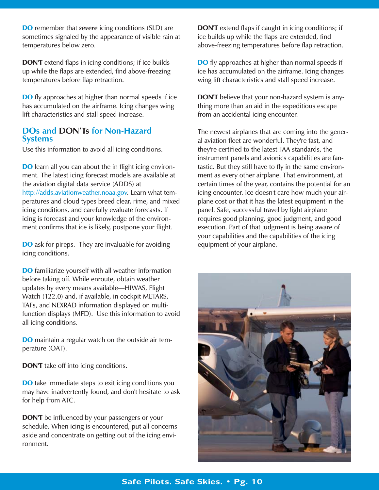DO remember that *severe* icing conditions (SLD) are sometimes signaled by the appearance of visible rain at temperatures below zero.

DON'T extend flaps in icing conditions; if ice builds up while the flaps are extended, find above-freezing temperatures before flap retraction.

**DO** fly approaches at higher than normal speeds if ice has accumulated on the airframe. Icing changes wing lift characteristics and stall speed increase.

### **DOs and DON'Ts for Non-Hazard Systems**

Use this information to avoid all icing conditions.

**DO** learn all you can about the in flight icing environment. The latest icing forecast models are available at the aviation digital data service (ADDS) at http://adds.aviationweather.noaa.gov. Learn what temperatures and cloud types breed clear, rime, and mixed icing conditions, and carefully evaluate forecasts. If icing is forecast and your knowledge of the environment confirms that ice is likely, postpone your flight.

**DO** ask for pireps. They are invaluable for avoiding icing conditions.

DO familiarize yourself with all weather information before taking off. While enroute, obtain weather updates by every means available—HIWAS, Flight Watch (122.0) and, if available, in cockpit METARS, TAFs, and NEXRAD information displayed on multifunction displays (MFD). Use this information to avoid all icing conditions.

DO maintain a regular watch on the outside air temperature (OAT).

DON'T take off into icing conditions.

**DO** take immediate steps to exit icing conditions you may have inadvertently found, and don't hesitate to ask for help from ATC.

**DON'T** be influenced by your passengers or your schedule. When icing is encountered, put all concerns aside and concentrate on getting out of the icing environment.

**DON'T** extend flaps if caught in icing conditions; if ice builds up while the flaps are extended, find above-freezing temperatures before flap retraction.

**DO** fly approaches at higher than normal speeds if ice has accumulated on the airframe. Icing changes wing lift characteristics and stall speed increase.

**DON'T** believe that your non-hazard system is anything more than an aid in the expeditious escape from an accidental icing encounter.

The newest airplanes that are coming into the general aviation fleet are wonderful. They're fast, and they're certified to the latest FAA standards, the instrument panels and avionics capabilities are fantastic. But they still have to fly in the same environment as every other airplane. That environment, at certain times of the year, contains the potential for an icing encounter. Ice doesn't care how much your airplane cost or that it has the latest equipment in the panel. Safe, successful travel by light airplane requires good planning, good judgment, and good execution. Part of that judgment is being aware of your capabilities and the capabilities of the icing equipment of your airplane.

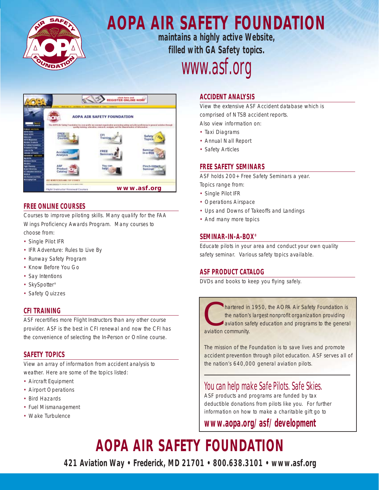

### **AOPA AIR SAFETY FOUNDATION maintains a highly active Website,**

**filled with GA Safety topics.** *www.asf.org*



### **FREE ONLINE COURSES**

Courses to improve piloting skills. Many qualify for the FAA Wings Proficiency Awards Program. Many courses to choose from:

- Single Pilot IFR
- IFR Adventure: Rules to Live By
- Runway Safety Program
- Know Before You Go
- Say Intentions
- SkySpotter<sup>®</sup>
- Safety Quizzes

### **CFI TRAINING**

ASF recertifies more Flight Instructors than any other course provider. ASF is the best in CFI renewal and now the CFI has the convenience of selecting the In-Person or Online course.

### **SAFETY TOPICS**

View an array of information from accident analysis to weather. Here are some of the topics listed:

- Aircraft Equipment
- Airport Operations
- Bird Hazards
- Fuel Mismanagement
- Wake Turbulence

### **ACCIDENT ANALYSIS**

View the extensive ASF Accident database which is comprised of NTSB accident reports.

Also view information on:

- Taxi Diagrams
- Annual Nall Report
- Safety Articles

### **FREE SAFETY SEMINARS**

ASF holds 200+ Free Safety Seminars a year.

- Topics range from:
- Single Pilot IFR
- Operations Airspace
- Ups and Downs of Takeoffs and Landings
- And many more topics

### **SEMINAR-IN-A-BOX®**

Educate pilots in your area and conduct your own quality safety seminar. Various safety topics available.

### **ASF PRODUCT CATALOG**

DVDs and books to keep you flying safely.

Inartered in 1950, the AOPA Air Safety Foundation is<br>the nation's largest nonprofit organization providing<br>aviation safety education and programs to the general<br>aviation community. the nation's largest nonprofit organization providing aviation safety education and programs to the general aviation community.

The mission of the Foundation is to save lives and promote accident prevention through pilot education. ASF serves all of the nation's 640,000 general aviation pilots.

### *You can help make Safe Pilots. Safe Skies.*

ASF products and programs are funded by tax deductible donations from pilots like you. For further information on how to make a charitable gift go to

### **www.aopa.org/asf/development**

## **AOPA AIR SAFETY FOUNDATION**

**421 Aviation Way • Frederick, MD 21701 • 800.638.3101 • www.asf.org**